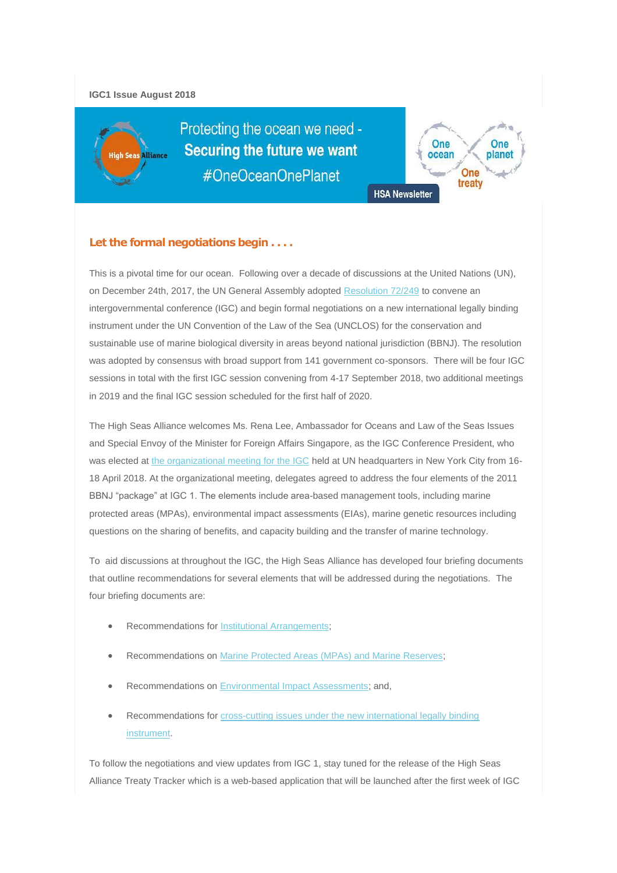### **IGC1 Issue August 2018**

**Alliance** 

Protecting the ocean we need -**Securing the future we want** #OneOceanOnePlanet



## **Let the formal negotiations begin . . . .**

This is a pivotal time for our ocean. Following over a decade of discussions at the United Nations (UN), on December 24th, 2017, the UN General Assembly adopted [Resolution 72/249](http://www.un.org/depts/los/general_assembly/general_assembly_resolutions.htm) to convene an intergovernmental conference (IGC) and begin formal negotiations on a new international legally binding instrument under the UN Convention of the Law of the Sea (UNCLOS) for the conservation and sustainable use of marine biological diversity in areas beyond national jurisdiction (BBNJ). The resolution was adopted by consensus with broad support from 141 government co-sponsors. There will be four IGC sessions in total with the first IGC session convening from 4-17 September 2018, two additional meetings in 2019 and the final IGC session scheduled for the first half of 2020.

The High Seas Alliance welcomes Ms. Rena Lee, Ambassador for Oceans and Law of the Seas Issues and Special Envoy of the Minister for Foreign Affairs Singapore, as the IGC Conference President, who was elected at [the organizational meeting for the IGC](http://undocs.org/en/a/conf.232/2018/2) held at UN headquarters in New York City from 16-18 April 2018. At the organizational meeting, delegates agreed to address the four elements of the 2011 BBNJ "package" at IGC 1. The elements include area-based management tools, including marine protected areas (MPAs), environmental impact assessments (EIAs), marine genetic resources including questions on the sharing of benefits, and capacity building and the transfer of marine technology.

To aid discussions at throughout the IGC, the High Seas Alliance has developed four briefing documents that outline recommendations for several elements that will be addressed during the negotiations. The four briefing documents are:

- Recommendations for [Institutional Arrangements;](http://highseasalliance.org/sites/highseasalliance.org/files/Institutional-Arrangements-11-April.pdf)
- Recommendations on Marine [Protected Areas \(MPAs\) and Marine Reserves;](http://highseasalliance.org/sites/highseasalliance.org/files/HSA-MPA-recommendations_March%202018.pdf)
- Recommendations on [Environmental Impact Assessments;](http://highseasalliance.org/sites/highseasalliance.org/files/HSA-EIA-recommendations_March-2018.pdf) and,
- Recommendations for cross-cutting issues under the new international legally binding [instrument.](http://highseasalliance.org/sites/highseasalliance.org/files/HSA%20cross_cutting%20doc_layout_FINAL.pdf)

To follow the negotiations and view updates from IGC 1, stay tuned for the release of the High Seas Alliance Treaty Tracker which is a web-based application that will be launched after the first week of IGC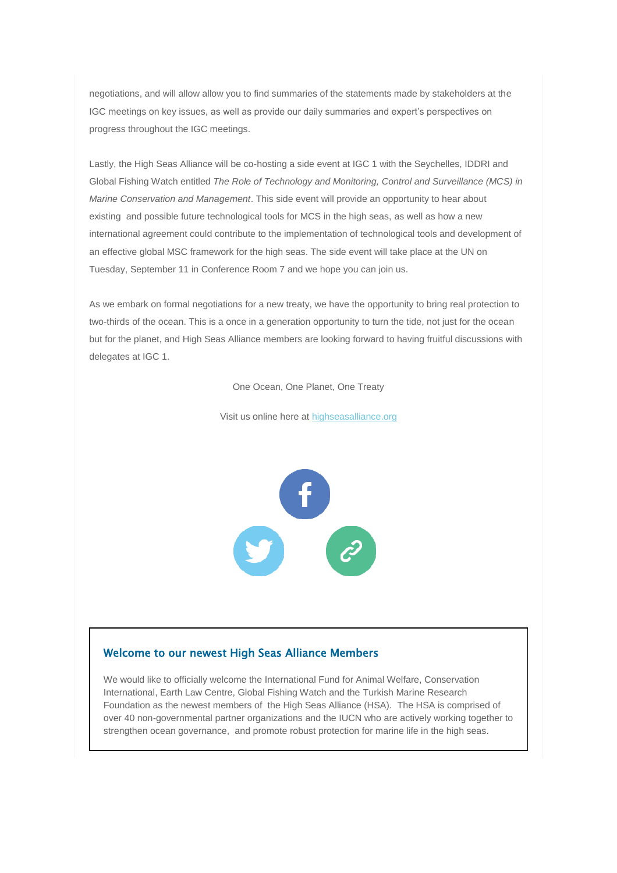negotiations, and will allow allow you to find summaries of the statements made by stakeholders at the IGC meetings on key issues, as well as provide our daily summaries and expert's perspectives on progress throughout the IGC meetings.

Lastly, the High Seas Alliance will be co-hosting a side event at IGC 1 with the Seychelles, IDDRI and Global Fishing Watch entitled *The Role of Technology and Monitoring, Control and Surveillance (MCS) in Marine Conservation and Management*. This side event will provide an opportunity to hear about existing and possible future technological tools for MCS in the high seas, as well as how a new international agreement could contribute to the implementation of technological tools and development of an effective global MSC framework for the high seas. The side event will take place at the UN on Tuesday, September 11 in Conference Room 7 and we hope you can join us.

As we embark on formal negotiations for a new treaty, we have the opportunity to bring real protection to two-thirds of the ocean. This is a once in a generation opportunity to turn the tide, not just for the ocean but for the planet, and High Seas Alliance members are looking forward to having fruitful discussions with delegates at IGC 1.

One Ocean, One Planet, One Treaty

Visit us online here at [highseasalliance.org](http://www.highseasalliance.org/)



### Welcome to our newest High Seas Alliance Members

We would like to officially welcome the International Fund for Animal Welfare, Conservation International, Earth Law Centre, Global Fishing Watch and the Turkish Marine Research Foundation as the newest members of the High Seas Alliance (HSA). The HSA is comprised of over 40 non-governmental partner organizations and the IUCN who are actively working together to strengthen ocean governance, and promote robust protection for marine life in the high seas.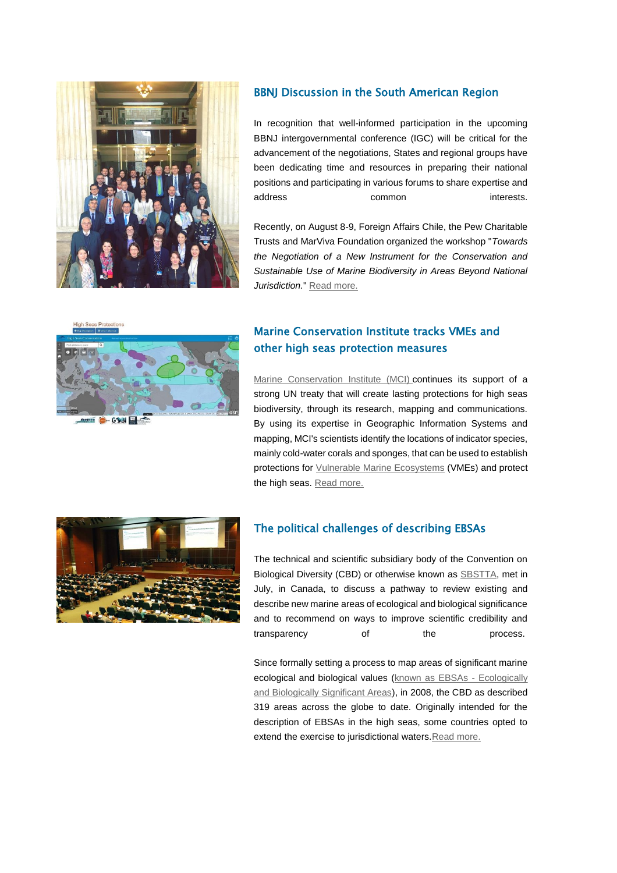

## BBNJ Discussion in the South American Region

In recognition that well-informed participation in the upcoming BBNJ intergovernmental conference (IGC) will be critical for the advancement of the negotiations, States and regional groups have been dedicating time and resources in preparing their national positions and participating in various forums to share expertise and address common interests.

Recently, on August 8-9, Foreign Affairs Chile, the Pew Charitable Trusts and MarViva Foundation organized the workshop "*Towards the Negotiation of a New Instrument for the Conservation and Sustainable Use of Marine Biodiversity in Areas Beyond National Jurisdiction.*" [Read more.](http://highseasalliance.org/content/bbnj-discussions-south-american-region)



Marine Conservation Institute tracks VMEs and other high seas protection measures

[Marine Conservation Institute \(MCI\)](https://marine-conservation.org/) continues its support of a strong UN treaty that will create lasting protections for high seas biodiversity, through its research, mapping and communications. By using its expertise in Geographic Information Systems and mapping, MCI's scientists identify the locations of indicator species, mainly cold-water corals and sponges, that can be used to establish protections for [Vulnerable Marine Ecosystems](https://marine-conservation.org/what-we-do/program-areas/high-seas/) (VMEs) and protect the high seas. [Read more.](http://highseasalliance.org/content/marine-conservation-institute-tracks-vmes-and-other-high-seas-protection-measures)



### The political challenges of describing EBSAs

The technical and scientific subsidiary body of the Convention on Biological Diversity (CBD) or otherwise known as [SBSTTA,](https://www.cbd.int/sbstta/) met in July, in Canada, to discuss a pathway to review existing and describe new marine areas of ecological and biological significance and to recommend on ways to improve scientific credibility and transparency of the process.

Since formally setting a process to map areas of significant marine ecological and biological values [\(known as EBSAs -](https://www.cbd.int/ebsa/) Ecologically [and Biologically Significant Areas\)](https://www.cbd.int/ebsa/), in 2008, the CBD as described 319 areas across the globe to date. Originally intended for the description of EBSAs in the high seas, some countries opted to extend the exercise to jurisdictional waters[.Read more.](http://highseasalliance.org/content/political-challenges-describing-ebsas)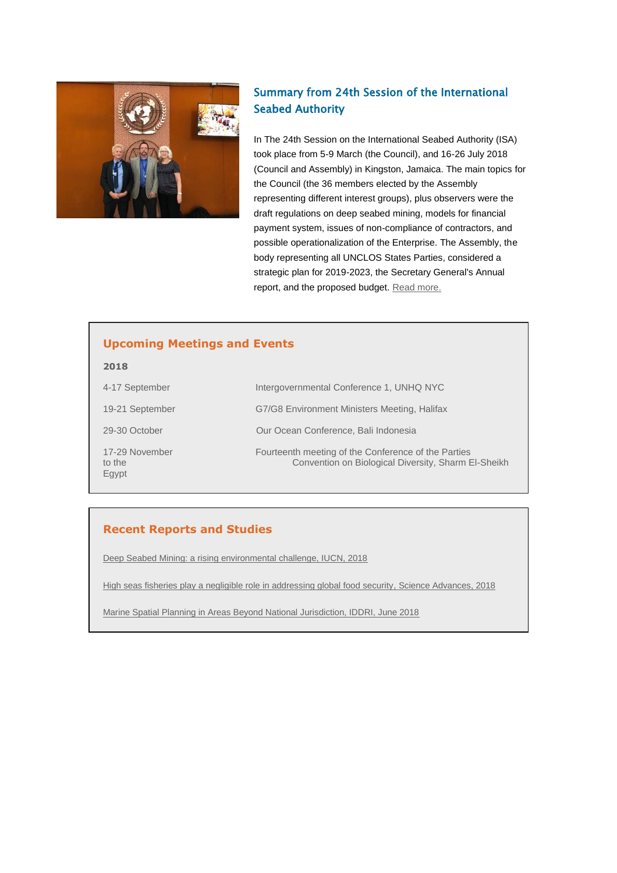

## Summary from 24th Session of the International Seabed Authority

In The 24th Session on the International Seabed Authority (ISA) took place from 5-9 March (the Council), and 16-26 July 2018 (Council and Assembly) in Kingston, Jamaica. The main topics for the Council (the 36 members elected by the Assembly representing different interest groups), plus observers were the draft regulations on deep seabed mining, models for financial payment system, issues of non-compliance of contractors, and possible operationalization of the Enterprise. The Assembly, the body representing all UNCLOS States Parties, considered a strategic plan for 2019-2023, the Secretary General's Annual report, and the proposed budget. [Read more.](http://highseasalliance.org/content/summary-24th-session-international-seabed-authority-isa)

## **Upcoming Meetings and Events**

| 2018                              |                                                                                                            |
|-----------------------------------|------------------------------------------------------------------------------------------------------------|
| 4-17 September                    | Intergovernmental Conference 1, UNHQ NYC                                                                   |
| 19-21 September                   | G7/G8 Environment Ministers Meeting, Halifax                                                               |
| 29-30 October                     | Our Ocean Conference, Bali Indonesia                                                                       |
| 17-29 November<br>to the<br>Egypt | Fourteenth meeting of the Conference of the Parties<br>Convention on Biological Diversity, Sharm El-Sheikh |

# **Recent Reports and Studies**

[Deep Seabed Mining: a rising environmental challenge, IUCN, 2018](http://advances.sciencemag.org/content/4/8/eaat8351)

[High seas fisheries play a negligible role in addressing global food security, Science Advances, 2018](http://advances.sciencemag.org/content/4/8/eaat8351)

[Marine Spatial Planning in Areas Beyond National Jurisdiction, IDDRI, June 2018](https://www.iddri.org/index.php/en/publications-and-events/issue-brief/marine-spatial-planning-areas-beyond-national-jurisdiction)